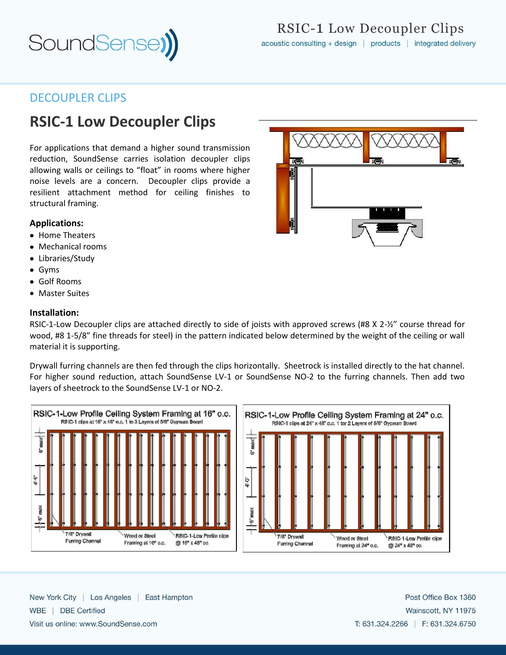

## DECOUPLER CLIPS

# **RSIC-1 Low Decoupler Clips**

For applications that demand a higher sound transmission reduction, SoundSense carries isolation decoupler clips allowing walls or ceilings to "float" in rooms where higher noise levels are a concern. Decoupler clips provide a resilient attachment method for ceiling finishes to structural framing.

### **Applications:**

- Home Theaters
- Mechanical rooms
- Libraries/Study
- Gyms
- Golf Rooms
- Master Suites

#### **Installation:**

RSIC-1-Low Decoupler clips are attached directly to side of joists with approved screws (#8 X 2-½" course thread for wood, #8 1-5/8" fine threads for steel) in the pattern indicated below determined by the weight of the ceiling or wall material it is supporting.

Drywall furring channels are then fed through the clips horizontally. Sheetrock is installed directly to the hat channel. For higher sound reduction, attach SoundSense LV-1 or SoundSense NO-2 to the furring channels. Then add two layers of sheetrock to the SoundSense LV-1 or NO-2.





New York City | Los Angeles | East Hampton WBE | DBE Certified Visit us online: www.SoundSense.com

**Kur I**